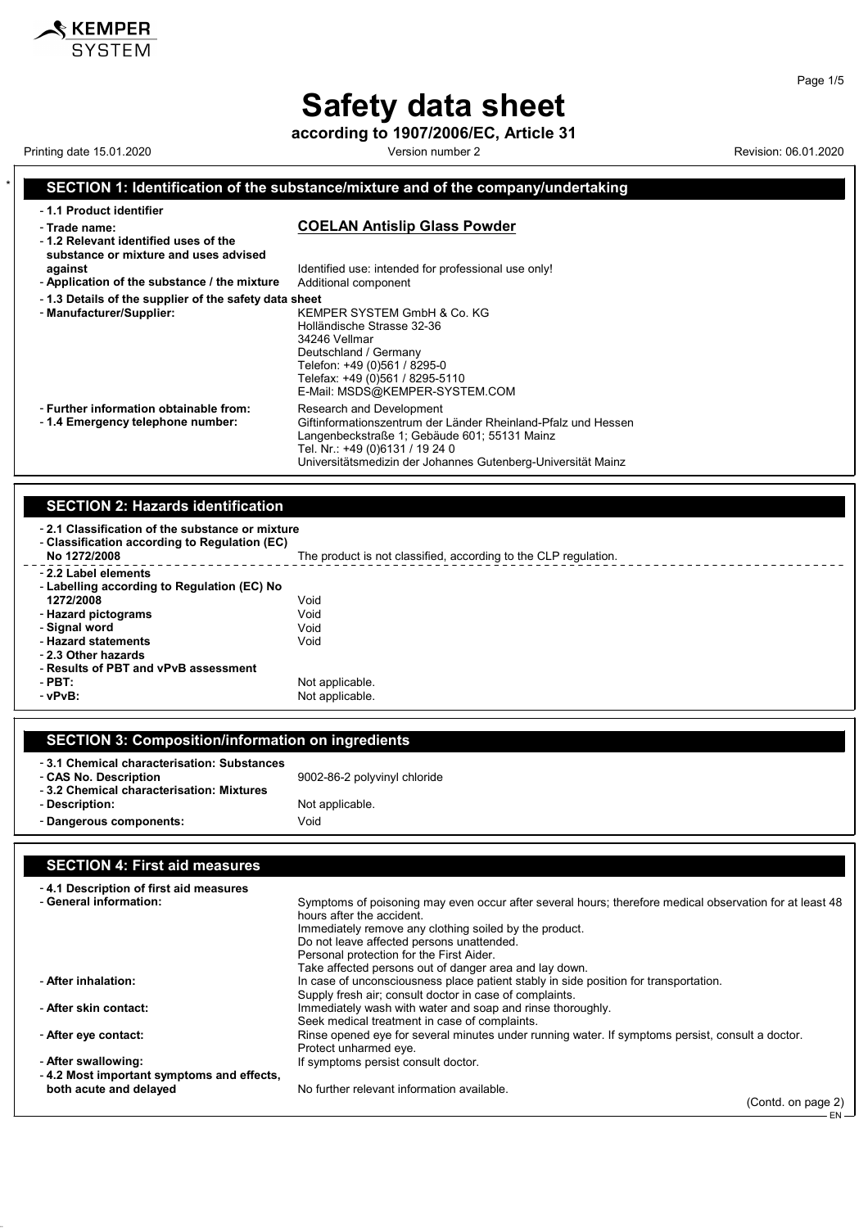# **Safety data sheet**

**according to 1907/2006/EC, Article 31**

Printing date 15.01.2020 **Version number 2** Version number 2 Revision: 06.01.2020

 $\mathbf$ **KEMPER** SYSTEM

### **SECTION 1: Identification of the substance/mixture and of the company/undertaking** - **1.1 Product identifier** - **Trade name: COELAN Antislip Glass Powder** - **1.2 Relevant identified uses of the substance or mixture and uses advised against against Identified use: intended for professional use only!**<br>**Application of the substance / the mixture** Additional component - Application of the substance / the mixture - **1.3 Details of the supplier of the safety data sheet** - **Manufacturer/Supplier:** KEMPER SYSTEM GmbH & Co. KG Holländische Strasse 32-36 34246 Vellmar Deutschland / Germany Telefon: +49 (0)561 / 8295-0 Telefax: +49 (0)561 / 8295-5110 E-Mail: MSDS@KEMPER-SYSTEM.COM - **Further information obtainable from:** Research and Development - 1.4 **Emergency telephone number:** Giftinformationszentrum der - **1.4 Emergency telephone number:** Giftinformationszentrum der Länder Rheinland-Pfalz und Hessen Langenbeckstraße 1; Gebäude 601; 55131 Mainz Tel. Nr.: +49 (0)6131 / 19 24 0 Universitätsmedizin der Johannes Gutenberg-Universität Mainz **SECTION 2: Hazards identification**

| No 1272/2008                                | The product is not classified, according to the CLP regulation. |  |
|---------------------------------------------|-----------------------------------------------------------------|--|
|                                             |                                                                 |  |
| - 2.2 Label elements                        |                                                                 |  |
| - Labelling according to Regulation (EC) No |                                                                 |  |
| 1272/2008                                   | Void                                                            |  |
| - Hazard pictograms                         | Void                                                            |  |
| - Signal word                               | Void                                                            |  |
| - Hazard statements                         | Void                                                            |  |
| - 2.3 Other hazards                         |                                                                 |  |
| - Results of PBT and vPvB assessment        |                                                                 |  |
| $-$ PBT:                                    | Not applicable.                                                 |  |
| $ vPvB$ :                                   | Not applicable.                                                 |  |

| <b>SECTION 3: Composition/information on ingredients</b>                                                        |                              |  |
|-----------------------------------------------------------------------------------------------------------------|------------------------------|--|
| -3.1 Chemical characterisation: Substances<br>- CAS No. Description<br>-3.2 Chemical characterisation: Mixtures | 9002-86-2 polyvinyl chloride |  |
| - Description:                                                                                                  | Not applicable.              |  |
| - Dangerous components:                                                                                         | Void                         |  |
|                                                                                                                 |                              |  |

## **SECTION 4: First aid measures**

| -4.1 Description of first aid measures    |                                                                                                                                                                                                |
|-------------------------------------------|------------------------------------------------------------------------------------------------------------------------------------------------------------------------------------------------|
| - General information:                    | Symptoms of poisoning may even occur after several hours; therefore medical observation for at least 48<br>hours after the accident.<br>Immediately remove any clothing soiled by the product. |
|                                           | Do not leave affected persons unattended.                                                                                                                                                      |
|                                           | Personal protection for the First Aider.                                                                                                                                                       |
|                                           | Take affected persons out of danger area and lay down.                                                                                                                                         |
| - After inhalation:                       | In case of unconsciousness place patient stably in side position for transportation.                                                                                                           |
|                                           | Supply fresh air; consult doctor in case of complaints.                                                                                                                                        |
| - After skin contact:                     | Immediately wash with water and soap and rinse thoroughly.                                                                                                                                     |
|                                           | Seek medical treatment in case of complaints.                                                                                                                                                  |
| - After eye contact:                      | Rinse opened eye for several minutes under running water. If symptoms persist, consult a doctor.                                                                                               |
|                                           | Protect unharmed eye.                                                                                                                                                                          |
| - After swallowing:                       | If symptoms persist consult doctor.                                                                                                                                                            |
| -4.2 Most important symptoms and effects, |                                                                                                                                                                                                |
| both acute and delayed                    | No further relevant information available.                                                                                                                                                     |
|                                           | $(Contd.$ on page 2)                                                                                                                                                                           |

(Contd. on page 2)

EN

Page 1/5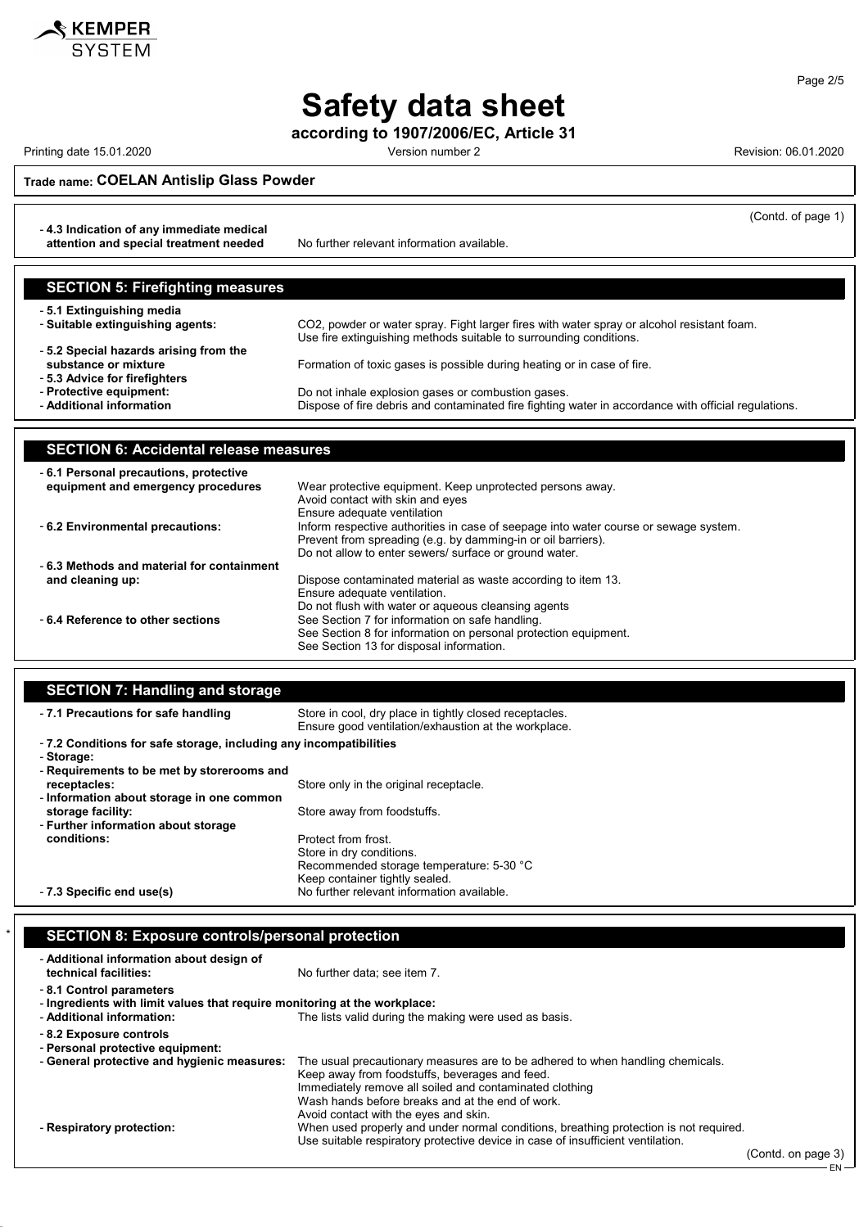

# **Safety data sheet**

**according to 1907/2006/EC, Article 31**

Printing date 15.01.2020 Version number 2 Revision: 06.01.2020

(Contd. of page 1)

EN

**Trade name: COELAN Antislip Glass Powder**

- **4.3 Indication of any immediate medical**

**attention and special treatment needed** No further relevant information available.

| <b>SECTION 5: Firefighting measures</b>                                                        |                                                                                                      |
|------------------------------------------------------------------------------------------------|------------------------------------------------------------------------------------------------------|
| -5.1 Extinguishing media                                                                       | CO2, powder or water spray. Fight larger fires with water spray or alcohol resistant foam.           |
| - Suitable extinguishing agents:                                                               | Use fire extinguishing methods suitable to surrounding conditions.                                   |
| -5.2 Special hazards arising from the<br>substance or mixture<br>- 5.3 Advice for firefighters | Formation of toxic gases is possible during heating or in case of fire.                              |
| - Protective equipment:                                                                        | Do not inhale explosion gases or combustion gases.                                                   |
| - Additional information                                                                       | Dispose of fire debris and contaminated fire fighting water in accordance with official regulations. |

| <b>SECTION 6: Accidental release measures</b> |                                                                                      |  |
|-----------------------------------------------|--------------------------------------------------------------------------------------|--|
| -6.1 Personal precautions, protective         |                                                                                      |  |
| equipment and emergency procedures            | Wear protective equipment. Keep unprotected persons away.                            |  |
|                                               | Avoid contact with skin and eyes                                                     |  |
|                                               | Ensure adequate ventilation                                                          |  |
| - 6.2 Environmental precautions:              | Inform respective authorities in case of seepage into water course or sewage system. |  |
|                                               | Prevent from spreading (e.g. by damming-in or oil barriers).                         |  |
|                                               | Do not allow to enter sewers/ surface or ground water.                               |  |
| -6.3 Methods and material for containment     |                                                                                      |  |
| and cleaning up:                              | Dispose contaminated material as waste according to item 13.                         |  |
|                                               | Ensure adequate ventilation.                                                         |  |
|                                               | Do not flush with water or aqueous cleansing agents                                  |  |
| -6.4 Reference to other sections              | See Section 7 for information on safe handling.                                      |  |
|                                               | See Section 8 for information on personal protection equipment.                      |  |
|                                               | See Section 13 for disposal information.                                             |  |

### **SECTION 7: Handling and storage**

| . .                                                                              |                                                                                                                 |
|----------------------------------------------------------------------------------|-----------------------------------------------------------------------------------------------------------------|
| - 7.1 Precautions for safe handling                                              | Store in cool, dry place in tightly closed receptacles.<br>Ensure good ventilation/exhaustion at the workplace. |
| - 7.2 Conditions for safe storage, including any incompatibilities<br>- Storage: |                                                                                                                 |
| - Requirements to be met by storerooms and                                       |                                                                                                                 |
| receptacles:                                                                     | Store only in the original receptacle.                                                                          |
| - Information about storage in one common                                        |                                                                                                                 |
| storage facility:                                                                | Store away from foodstuffs.                                                                                     |
| - Further information about storage                                              |                                                                                                                 |
| conditions:                                                                      | Protect from frost.                                                                                             |
|                                                                                  | Store in dry conditions.                                                                                        |
|                                                                                  | Recommended storage temperature: 5-30 °C                                                                        |
|                                                                                  | Keep container tightly sealed.                                                                                  |
| - 7.3 Specific end use(s)                                                        | No further relevant information available.                                                                      |
|                                                                                  |                                                                                                                 |

## \* **SECTION 8: Exposure controls/personal protection**

| - Additional information about design of<br>technical facilities:                                                                 | No further data: see item 7.                                                                                                                                                                                                                                                             |                    |  |
|-----------------------------------------------------------------------------------------------------------------------------------|------------------------------------------------------------------------------------------------------------------------------------------------------------------------------------------------------------------------------------------------------------------------------------------|--------------------|--|
| -8.1 Control parameters<br>- Ingredients with limit values that require monitoring at the workplace:<br>- Additional information: | The lists valid during the making were used as basis.                                                                                                                                                                                                                                    |                    |  |
| - 8.2 Exposure controls<br>- Personal protective equipment:                                                                       |                                                                                                                                                                                                                                                                                          |                    |  |
| - General protective and hygienic measures:                                                                                       | The usual precautionary measures are to be adhered to when handling chemicals.<br>Keep away from foodstuffs, beverages and feed.<br>Immediately remove all soiled and contaminated clothing<br>Wash hands before breaks and at the end of work.<br>Avoid contact with the eyes and skin. |                    |  |
| - Respiratory protection:                                                                                                         | When used properly and under normal conditions, breathing protection is not required.<br>Use suitable respiratory protective device in case of insufficient ventilation.                                                                                                                 |                    |  |
|                                                                                                                                   |                                                                                                                                                                                                                                                                                          | (Contd. on page 3) |  |

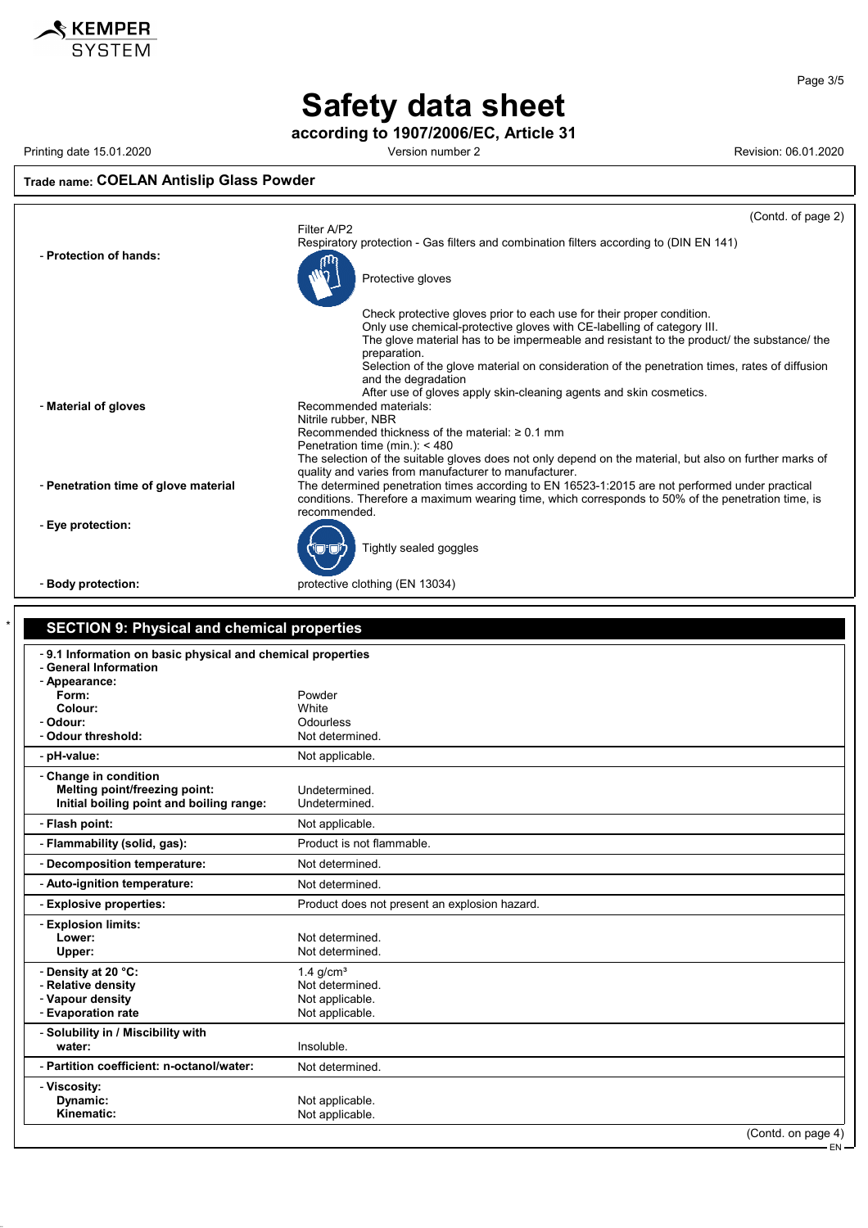

**Safety data sheet**

**according to 1907/2006/EC, Article 31**

Printing date 15.01.2020 **Version number 2 Version number 2** Revision: 06.01.2020

#### **Trade name: COELAN Antislip Glass Powder**



| -9.1 Information on basic physical and chemical properties |                                               |  |
|------------------------------------------------------------|-----------------------------------------------|--|
| - General Information<br>- Appearance:                     |                                               |  |
| Form:                                                      | Powder                                        |  |
| Colour:                                                    | White                                         |  |
| - Odour:                                                   | Odourless                                     |  |
| - Odour threshold:                                         | Not determined.                               |  |
| - pH-value:                                                | Not applicable.                               |  |
| - Change in condition                                      |                                               |  |
| Melting point/freezing point:                              | Undetermined.                                 |  |
| Initial boiling point and boiling range:                   | Undetermined.                                 |  |
| - Flash point:                                             | Not applicable.                               |  |
| - Flammability (solid, gas):                               | Product is not flammable.                     |  |
| - Decomposition temperature:                               | Not determined.                               |  |
| - Auto-ignition temperature:                               | Not determined.                               |  |
| - Explosive properties:                                    | Product does not present an explosion hazard. |  |
| - Explosion limits:                                        |                                               |  |
| Lower:                                                     | Not determined.                               |  |
| Upper:                                                     | Not determined.                               |  |
| - Density at 20 °C:                                        | $1.4$ g/cm <sup>3</sup>                       |  |
| - Relative density                                         | Not determined.                               |  |
| - Vapour density                                           | Not applicable.                               |  |
| - Evaporation rate                                         | Not applicable.                               |  |
| - Solubility in / Miscibility with                         |                                               |  |
| water:                                                     | Insoluble.                                    |  |
| - Partition coefficient: n-octanol/water:                  | Not determined.                               |  |
| - Viscosity:                                               |                                               |  |
| Dynamic:                                                   | Not applicable.                               |  |
| Kinematic:                                                 | Not applicable.                               |  |

Page 3/5

EN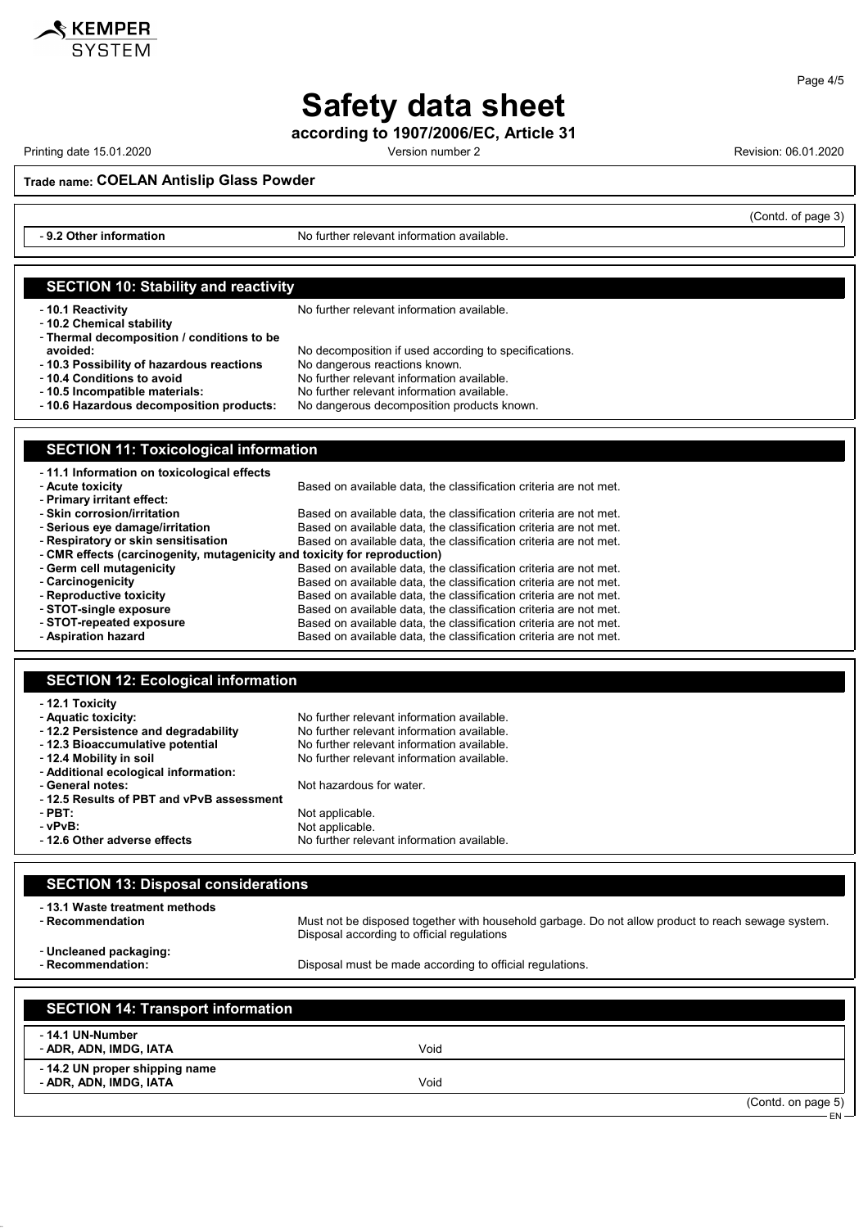

**according to 1907/2006/EC, Article 31**

Printing date 15.01.2020 **Printing date 15.01.2020** Cersion number 2 Revision: 06.01.2020

KEMPER

(Contd. of page 3)

**Trade name: COELAN Antislip Glass Powder**

- **9.2 Other information** No further relevant information available.

| <b>SECTION 10: Stability and reactivity</b>                               |                                                                                                    |
|---------------------------------------------------------------------------|----------------------------------------------------------------------------------------------------|
|                                                                           |                                                                                                    |
| -10.1 Reactivity                                                          | No further relevant information available.                                                         |
| - 10.2 Chemical stability                                                 |                                                                                                    |
|                                                                           |                                                                                                    |
| - Thermal decomposition / conditions to be                                |                                                                                                    |
| avoided:                                                                  | No decomposition if used according to specifications.                                              |
| -10.3 Possibility of hazardous reactions                                  | No dangerous reactions known.                                                                      |
| - 10.4 Conditions to avoid                                                | No further relevant information available.                                                         |
| -10.5 Incompatible materials:                                             | No further relevant information available.                                                         |
| -10.6 Hazardous decomposition products:                                   |                                                                                                    |
|                                                                           | No dangerous decomposition products known.                                                         |
|                                                                           |                                                                                                    |
|                                                                           |                                                                                                    |
| <b>SECTION 11: Toxicological information</b>                              |                                                                                                    |
|                                                                           |                                                                                                    |
| - 11.1 Information on toxicological effects                               |                                                                                                    |
| - Acute toxicity                                                          | Based on available data, the classification criteria are not met.                                  |
| - Primary irritant effect:                                                |                                                                                                    |
| - Skin corrosion/irritation                                               | Based on available data, the classification criteria are not met.                                  |
|                                                                           |                                                                                                    |
| - Serious eye damage/irritation                                           | Based on available data, the classification criteria are not met.                                  |
| - Respiratory or skin sensitisation                                       | Based on available data, the classification criteria are not met.                                  |
| - CMR effects (carcinogenity, mutagenicity and toxicity for reproduction) |                                                                                                    |
| - Germ cell mutagenicity                                                  | Based on available data, the classification criteria are not met.                                  |
| - Carcinogenicity                                                         | Based on available data, the classification criteria are not met.                                  |
| - Reproductive toxicity                                                   | Based on available data, the classification criteria are not met.                                  |
| - STOT-single exposure                                                    | Based on available data, the classification criteria are not met.                                  |
|                                                                           |                                                                                                    |
| - STOT-repeated exposure                                                  | Based on available data, the classification criteria are not met.                                  |
| - Aspiration hazard                                                       | Based on available data, the classification criteria are not met.                                  |
|                                                                           |                                                                                                    |
|                                                                           |                                                                                                    |
| <b>SECTION 12: Ecological information</b>                                 |                                                                                                    |
|                                                                           |                                                                                                    |
| - 12.1 Toxicity                                                           |                                                                                                    |
| - Aquatic toxicity:                                                       | No further relevant information available.                                                         |
|                                                                           | No further relevant information available.                                                         |
| -12.2 Persistence and degradability                                       |                                                                                                    |
| - 12.3 Bioaccumulative potential                                          | No further relevant information available.                                                         |
| - 12.4 Mobility in soil                                                   | No further relevant information available.                                                         |
| - Additional ecological information:                                      |                                                                                                    |
| - General notes:                                                          | Not hazardous for water.                                                                           |
| -12.5 Results of PBT and vPvB assessment                                  |                                                                                                    |
| - PBT:                                                                    | Not applicable.                                                                                    |
| - vPvB:                                                                   |                                                                                                    |
|                                                                           | Not applicable.                                                                                    |
| -12.6 Other adverse effects                                               | No further relevant information available.                                                         |
|                                                                           |                                                                                                    |
|                                                                           |                                                                                                    |
| <b>SECTION 13: Disposal considerations</b>                                |                                                                                                    |
|                                                                           |                                                                                                    |
| - 13.1 Waste treatment methods                                            |                                                                                                    |
| - Recommendation                                                          | Must not be disposed together with household garbage. Do not allow product to reach sewage system. |
|                                                                           |                                                                                                    |
|                                                                           | Disposal according to official regulations                                                         |
| - Uncleaned packaging:                                                    |                                                                                                    |
| - Recommendation:                                                         | Disposal must be made according to official regulations.                                           |
|                                                                           |                                                                                                    |
|                                                                           |                                                                                                    |
|                                                                           |                                                                                                    |
| <b>SECTION 14: Transport information</b>                                  |                                                                                                    |

| <b>ULUTION 14: Hansport Imprimation</b>                  |      |                               |
|----------------------------------------------------------|------|-------------------------------|
| - 14.1 UN-Number<br>- ADR, ADN, IMDG, IATA               | Void |                               |
| - 14.2 UN proper shipping name<br>- ADR, ADN, IMDG, IATA | Void |                               |
|                                                          |      | (Contd. on page 5)<br>$ FN -$ |

Page 4/5